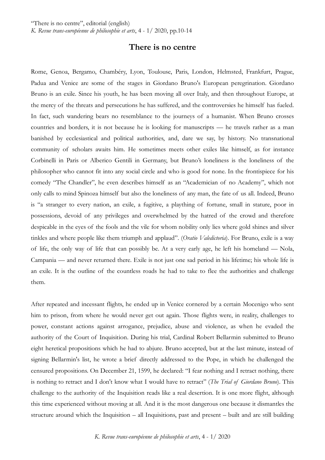## **There is no centre**

Rome, Genoa, Bergamo, Chambéry, Lyon, Toulouse, Paris, London, Helmsted, Frankfurt, Prague, Padua and Venice are some of the stages in Giordano Bruno's European peregrination. Giordano Bruno is an exile. Since his youth, he has been moving all over Italy, and then throughout Europe, at the mercy of the threats and persecutions he has suffered, and the controversies he himself has fueled. In fact, such wandering bears no resemblance to the journeys of a humanist. When Bruno crosses countries and borders, it is not because he is looking for manuscripts — he travels rather as a man banished by ecclesiastical and political authorities, and, dare we say, by history. No transnational community of scholars awaits him. He sometimes meets other exiles like himself, as for instance Corbinelli in Paris or Alberico Gentili in Germany, but Bruno's loneliness is the loneliness of the philosopher who cannot fit into any social circle and who is good for none. In the frontispiece for his comedy "The Chandler", he even describes himself as an "Academician of no Academy", which not only calls to mind Spinoza himself but also the loneliness of any man, the fate of us all. Indeed, Bruno is "a stranger to every nation, an exile, a fugitive, a plaything of fortune, small in stature, poor in possessions, devoid of any privileges and overwhelmed by the hatred of the crowd and therefore despicable in the eyes of the fools and the vile for whom nobility only lies where gold shines and silver tinkles and where people like them triumph and applaud". (*Oratio Valedictoria*). For Bruno, exile is a way of life, the only way of life that can possibly be. At a very early age, he left his homeland — Nola, Campania — and never returned there. Exile is not just one sad period in his lifetime; his whole life is an exile. It is the outline of the countless roads he had to take to flee the authorities and challenge them.

After repeated and incessant flights, he ended up in Venice cornered by a certain Mocenigo who sent him to prison, from where he would never get out again. Those flights were, in reality, challenges to power, constant actions against arrogance, prejudice, abuse and violence, as when he evaded the authority of the Court of Inquisition. During his trial, Cardinal Robert Bellarmin submitted to Bruno eight heretical propositions which he had to abjure. Bruno accepted, but at the last minute, instead of signing Bellarmin's list, he wrote a brief directly addressed to the Pope, in which he challenged the censured propositions. On December 21, 1599, he declared: "I fear nothing and I retract nothing, there is nothing to retract and I don't know what I would have to retract" (*The Trial of Giordano Bruno*). This challenge to the authority of the Inquisition reads like a real desertion. It is one more flight, although this time experienced without moving at all. And it is the most dangerous one because it dismantles the structure around which the Inquisition – all Inquisitions, past and present – built and are still building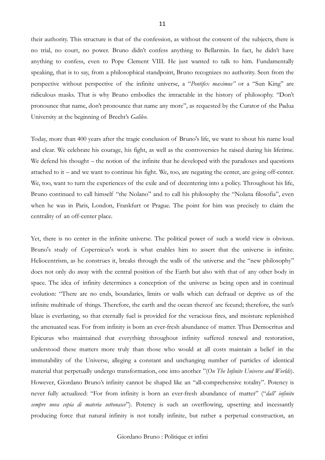their authority. This structure is that of the confession, as without the consent of the subjects, there is no trial, no court, no power. Bruno didn't confess anything to Bellarmin. In fact, he didn't have anything to confess, even to Pope Clement VIII. He just wanted to talk to him. Fundamentally speaking, that is to say, from a philosophical standpoint, Bruno recognizes no authority. Seen from the perspective without perspective of the infinite universe, a "*Pontifex maximus"* or a "Sun King" are ridiculous masks. That is why Bruno embodies the intractable in the history of philosophy. "Don't pronounce that name, don't pronounce that name any more", as requested by the Curator of the Padua University at the beginning of Brecht's *Galileo*.

Today, more than 400 years after the tragic conclusion of Bruno's life, we want to shout his name loud and clear. We celebrate his courage, his fight, as well as the controversies he raised during his lifetime. We defend his thought – the notion of the infinite that he developed with the paradoxes and questions attached to it – and we want to continue his fight. We, too, are negating the center, are going off-center. We, too, want to turn the experiences of the exile and of decentering into a policy. Throughout his life, Bruno continued to call himself "the Nolano" and to call his philosophy the "Nolana filosofia", even when he was in Paris, London, Frankfurt or Prague. The point for him was precisely to claim the centrality of an off-center place.

Yet, there is no center in the infinite universe. The political power of such a world view is obvious. Bruno's study of Copernicus's work is what enables him to assert that the universe is infinite. Heliocentrism, as he construes it, breaks through the walls of the universe and the "new philosophy" does not only do away with the central position of the Earth but also with that of any other body in space. The idea of infinity determines a conception of the universe as being open and in continual evolution: "There are no ends, boundaries, limits or walls which can defraud or deprive us of the infinite multitude of things. Therefore, the earth and the ocean thereof are fecund; therefore, the sun's blaze is everlasting, so that eternally fuel is provided for the veracious fires, and moisture replenished the attenuated seas. For from infinity is born an ever-fresh abundance of matter. Thus Democritus and Epicurus who maintained that everything throughout infinity suffered renewal and restoration, understood these matters more truly than those who would at all costs maintain a belief in the immutability of the Universe, alleging a constant and unchanging number of particles of identical material that perpetually undergo transformation, one into another "(*On The Infinite Universe and Worlds*). However, Giordano Bruno's infinity cannot be shaped like an "all-comprehensive totality". Potency is never fully actualized: "For from infinity is born an ever-fresh abundance of matter" ("*dall' infinito sempre nova copia di materia sottonasce*"). Potency is such an overflowing, upsetting and incessantly producing force that natural infinity is not totally infinite, but rather a perpetual construction, an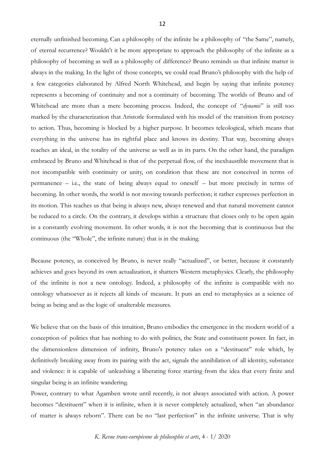eternally unfinished becoming. Can a philosophy of the infinite be a philosophy of "the Same", namely, of eternal recurrence? Wouldn't it be more appropriate to approach the philosophy of the infinite as a philosophy of becoming as well as a philosophy of difference? Bruno reminds us that infinite matter is always in the making. In the light of those concepts, we could read Bruno's philosophy with the help of a few categories elaborated by Alfred North Whitehead, and begin by saying that infinite potency represents a becoming of continuity and not a continuity of becoming. The worlds of Bruno and of Whitehead are more than a mere becoming process. Indeed, the concept of "*dynamis*" is still too marked by the characterization that Aristotle formulated with his model of the transition from potency to action. Thus, becoming is blocked by a higher purpose. It becomes teleological, which means that everything in the universe has its rightful place and knows its destiny. That way, becoming always reaches an ideal, in the totality of the universe as well as in its parts. On the other hand, the paradigm embraced by Bruno and Whitehead is that of the perpetual flow, of the inexhaustible movement that is not incompatible with continuity or unity, on condition that these are not conceived in terms of permanence – i.e., the state of being always equal to oneself – but more precisely in terms of becoming. In other words, the world is not moving towards perfection; it rather expresses perfection in its motion. This teaches us that being is always new, always renewed and that natural movement cannot be reduced to a circle. On the contrary, it develops within a structure that closes only to be open again in a constantly evolving movement. In other words, it is not the becoming that is continuous but the continuous (the "Whole", the infinite nature) that is in the making.

Because potency, as conceived by Bruno, is never really "actualized", or better, because it constantly achieves and goes beyond its own actualization, it shatters Western metaphysics. Clearly, the philosophy of the infinite is not a new ontology. Indeed, a philosophy of the infinite is compatible with no ontology whatsoever as it rejects all kinds of measure. It puts an end to metaphysics as a science of being as being and as the logic of unalterable measures.

We believe that on the basis of this intuition, Bruno embodies the emergence in the modern world of a conception of politics that has nothing to do with politics, the State and constituent power. In fact, in the dimensionless dimension of infinity, Bruno's potency takes on a "destituent" role which, by definitively breaking away from its pairing with the act, signals the annihilation of all identity, substance and violence: it is capable of unleashing a liberating force starting from the idea that every finite and singular being is an infinite wandering.

Power, contrary to what Agamben wrote until recently, is not always associated with action. A power becomes "destituent" when it is infinite, when it is never completely actualized, when "an abundance of matter is always reborn". There can be no "last perfection" in the infinite universe. That is why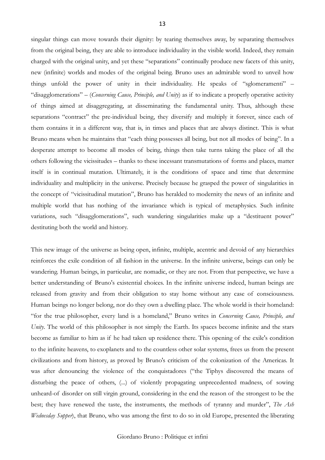singular things can move towards their dignity: by tearing themselves away, by separating themselves from the original being, they are able to introduce individuality in the visible world. Indeed, they remain charged with the original unity, and yet these "separations" continually produce new facets of this unity, new (infinite) worlds and modes of the original being. Bruno uses an admirable word to unveil how things unfold the power of unity in their individuality. He speaks of "sglomeramenti" – "disagglomerations" – (*Concerning Cause, Principle, and Unity*) as if to indicate a properly operative activity of things aimed at disaggregating, at disseminating the fundamental unity. Thus, although these separations "contract" the pre-individual being, they diversify and multiply it forever, since each of them contains it in a different way, that is, in times and places that are always distinct. This is what Bruno means when he maintains that "each thing possesses all being, but not all modes of being". In a desperate attempt to become all modes of being, things then take turns taking the place of all the others following the vicissitudes – thanks to these incessant transmutations of forms and places, matter itself is in continual mutation. Ultimately, it is the conditions of space and time that determine individuality and multiplicity in the universe. Precisely because he grasped the power of singularities in the concept of "vicissitudinal mutation", Bruno has heralded to modernity the news of an infinite and multiple world that has nothing of the invariance which is typical of metaphysics. Such infinite variations, such "disagglomerations", such wandering singularities make up a "destituent power" destituting both the world and history.

This new image of the universe as being open, infinite, multiple, acentric and devoid of any hierarchies reinforces the exile condition of all fashion in the universe. In the infinite universe, beings can only be wandering. Human beings, in particular, are nomadic, or they are not. From that perspective, we have a better understanding of Bruno's existential choices. In the infinite universe indeed, human beings are released from gravity and from their obligation to stay home without any case of consciousness. Human beings no longer belong, nor do they own a dwelling place. The whole world is their homeland: "for the true philosopher, every land is a homeland," Bruno writes in *Concerning Cause, Principle, and Unity*. The world of this philosopher is not simply the Earth. Its spaces become infinite and the stars become as familiar to him as if he had taken up residence there. This opening of the exile's condition to the infinite heavens, to exoplanets and to the countless other solar systems, frees us from the present civilizations and from history, as proved by Bruno's criticism of the colonization of the Americas. It was after denouncing the violence of the conquistadores ("the Tiphys discovered the means of disturbing the peace of others, (...) of violently propagating unprecedented madness, of sowing unheard-of disorder on still virgin ground, considering in the end the reason of the strongest to be the best; they have renewed the taste, the instruments, the methods of tyranny and murder", *The Ash Wednesday Supper*), that Bruno, who was among the first to do so in old Europe, presented the liberating